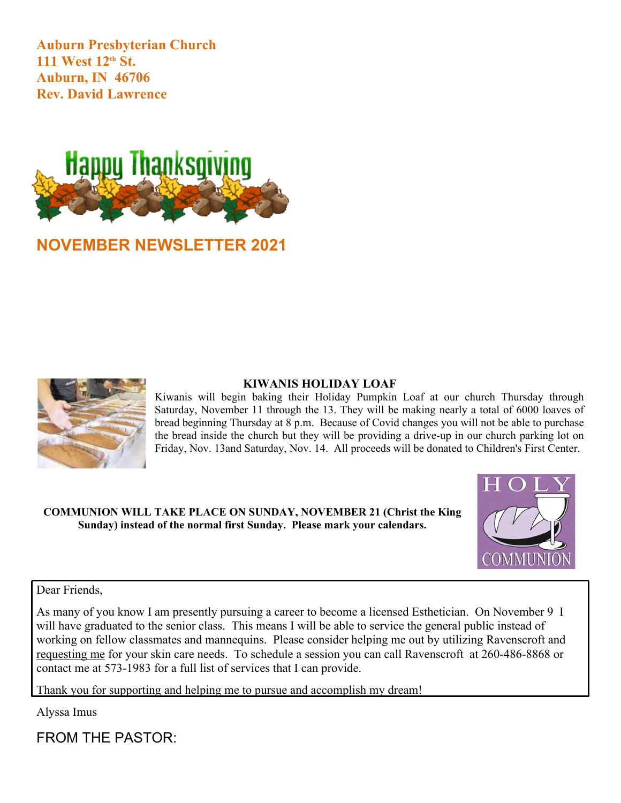**Auburn Presbyterian Church 111 West 12th St. Auburn, IN 46706 Rev. David Lawrence**



# **NOVEMBER NEWSLETTER 2021**



#### **KIWANIS HOLIDAY LOAF**

Kiwanis will begin baking their Holiday Pumpkin Loaf at our church Thursday through Saturday, November 11 through the 13. They will be making nearly a total of 6000 loaves of bread beginning Thursday at 8 p.m. Because of Covid changes you will not be able to purchase the bread inside the church but they will be providing a drive-up in our church parking lot on Friday, Nov. 13and Saturday, Nov. 14. All proceeds will be donated to Children's First Center.

**COMMUNION WILL TAKE PLACE ON SUNDAY, NOVEMBER 21 (Christ the King Sunday) instead of the normal first Sunday. Please mark your calendars.**



#### Dear Friends,

As many of you know I am presently pursuing a career to become a licensed Esthetician. On November 9 I will have graduated to the senior class. This means I will be able to service the general public instead of working on fellow classmates and mannequins. Please consider helping me out by utilizing Ravenscroft and requesting me for your skin care needs. To schedule a session you can call Ravenscroft at 260-486-8868 or contact me at 573-1983 for a full list of services that I can provide.

Thank you for supporting and helping me to pursue and accomplish my dream!

Alyssa Imus

FROM THE PASTOR: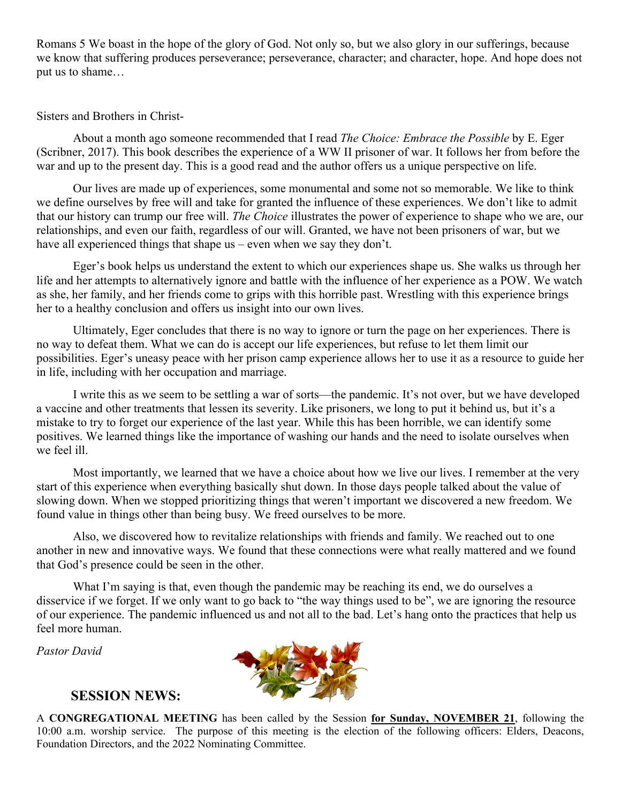Romans 5 We boast in the hope of the glory of God. Not only so, but we also glory in our sufferings, because we know that suffering produces perseverance; perseverance, character; and character, hope. And hope does not put us to shame…

Sisters and Brothers in Christ-

About a month ago someone recommended that I read *The Choice: Embrace the Possible* by E. Eger (Scribner, 2017). This book describes the experience of a WW II prisoner of war. It follows her from before the war and up to the present day. This is a good read and the author offers us a unique perspective on life.

Our lives are made up of experiences, some monumental and some not so memorable. We like to think we define ourselves by free will and take for granted the influence of these experiences. We don't like to admit that our history can trump our free will. *The Choice* illustrates the power of experience to shape who we are, our relationships, and even our faith, regardless of our will. Granted, we have not been prisoners of war, but we have all experienced things that shape us – even when we say they don't.

Eger's book helps us understand the extent to which our experiences shape us. She walks us through her life and her attempts to alternatively ignore and battle with the influence of her experience as a POW. We watch as she, her family, and her friends come to grips with this horrible past. Wrestling with this experience brings her to a healthy conclusion and offers us insight into our own lives.

Ultimately, Eger concludes that there is no way to ignore or turn the page on her experiences. There is no way to defeat them. What we can do is accept our life experiences, but refuse to let them limit our possibilities. Eger's uneasy peace with her prison camp experience allows her to use it as a resource to guide her in life, including with her occupation and marriage.

I write this as we seem to be settling a war of sorts—the pandemic. It's not over, but we have developed a vaccine and other treatments that lessen its severity. Like prisoners, we long to put it behind us, but it's a mistake to try to forget our experience of the last year. While this has been horrible, we can identify some positives. We learned things like the importance of washing our hands and the need to isolate ourselves when we feel ill.

Most importantly, we learned that we have a choice about how we live our lives. I remember at the very start of this experience when everything basically shut down. In those days people talked about the value of slowing down. When we stopped prioritizing things that weren't important we discovered a new freedom. We found value in things other than being busy. We freed ourselves to be more.

Also, we discovered how to revitalize relationships with friends and family. We reached out to one another in new and innovative ways. We found that these connections were what really mattered and we found that God's presence could be seen in the other.

What I'm saying is that, even though the pandemic may be reaching its end, we do ourselves a disservice if we forget. If we only want to go back to "the way things used to be", we are ignoring the resource of our experience. The pandemic influenced us and not all to the bad. Let's hang onto the practices that help us feel more human.

*Pastor David*



# **SESSION NEWS:**

A **CONGREGATIONAL MEETING** has been called by the Session **for Sunday, NOVEMBER 21**, following the 10:00 a.m. worship service. The purpose of this meeting is the election of the following officers: Elders, Deacons, Foundation Directors, and the 2022 Nominating Committee.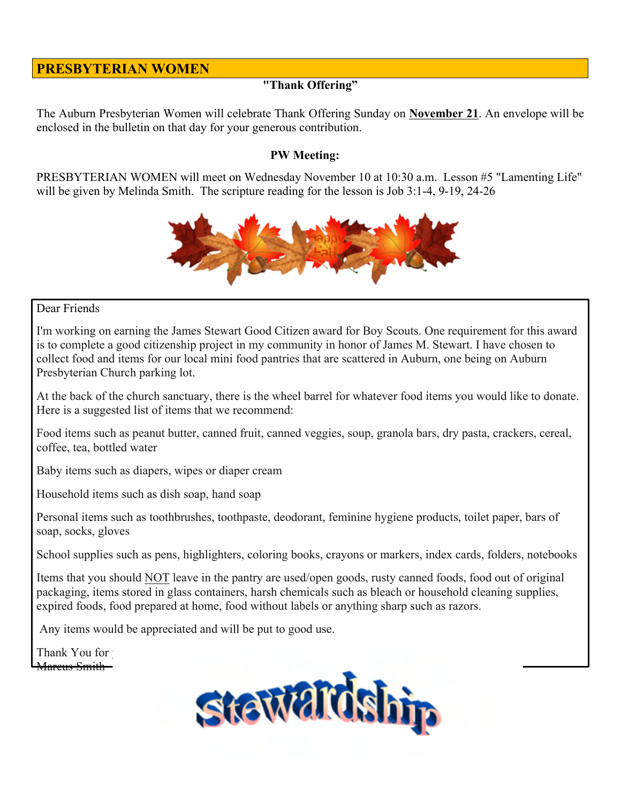# **PRESBYTERIAN WOMEN**

## **"Thank Offering"**

The Auburn Presbyterian Women will celebrate Thank Offering Sunday on **November 21**. An envelope will be enclosed in the bulletin on that day for your generous contribution.

#### **PW Meeting:**

PRESBYTERIAN WOMEN will meet on Wednesday November 10 at 10:30 a.m. Lesson #5 "Lamenting Life" will be given by Melinda Smith. The scripture reading for the lesson is Job 3:1-4, 9-19, 24-26



#### Dear Friends

I'm working on earning the James Stewart Good Citizen award for Boy Scouts. One requirement for this award is to complete a good citizenship project in my community in honor of James M. Stewart. I have chosen to collect food and items for our local mini food pantries that are scattered in Auburn, one being on Auburn Presbyterian Church parking lot.

At the back of the church sanctuary, there is the wheel barrel for whatever food items you would like to donate. Here is a suggested list of items that we recommend:

Food items such as peanut butter, canned fruit, canned veggies, soup, granola bars, dry pasta, crackers, cereal, coffee, tea, bottled water

Baby items such as diapers, wipes or diaper cream

Household items such as dish soap, hand soap

Personal items such as toothbrushes, toothpaste, deodorant, feminine hygiene products, toilet paper, bars of soap, socks, gloves

School supplies such as pens, highlighters, coloring books, crayons or markers, index cards, folders, notebooks

Items that you should NOT leave in the pantry are used/open goods, rusty canned foods, food out of original packaging, items stored in glass containers, harsh chemicals such as bleach or household cleaning supplies, expired foods, food prepared at home, food without labels or anything sharp such as razors.

Any items would be appreciated and will be put to good use.

Thank You for Mareus Smith—